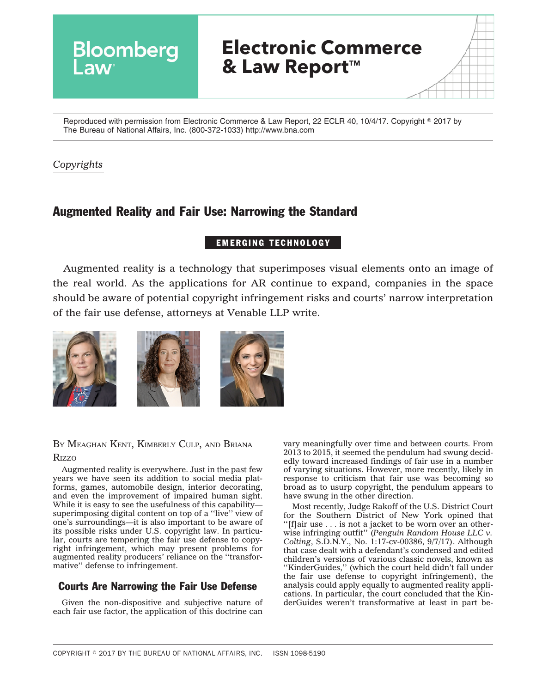

Reproduced with permission from Electronic Commerce & Law Report, 22 ECLR 40, 10/4/17. Copyright © 2017 by The Bureau of National Affairs, Inc. (800-372-1033) http://www.bna.com

## *Copyrights*

# Augmented Reality and Fair Use: Narrowing the Standard

### EMERGING TECHNOLOGY

Augmented reality is a technology that superimposes visual elements onto an image of the real world. As the applications for AR continue to expand, companies in the space should be aware of potential copyright infringement risks and courts' narrow interpretation of the fair use defense, attorneys at Venable LLP write.



### BY MEAGHAN KENT, KIMBERLY CULP, AND BRIANA **R**<sub>IZZO</sub>

Augmented reality is everywhere. Just in the past few years we have seen its addition to social media platforms, games, automobile design, interior decorating, and even the improvement of impaired human sight. While it is easy to see the usefulness of this capability superimposing digital content on top of a ''live'' view of one's surroundings—it is also important to be aware of its possible risks under U.S. copyright law. In particular, courts are tempering the fair use defense to copyright infringement, which may present problems for augmented reality producers' reliance on the ''transformative'' defense to infringement.

## Courts Are Narrowing the Fair Use Defense

Given the non-dispositive and subjective nature of each fair use factor, the application of this doctrine can vary meaningfully over time and between courts. From 2013 to 2015, it seemed the pendulum had swung decidedly toward increased findings of fair use in a number of varying situations. However, more recently, likely in response to criticism that fair use was becoming so broad as to usurp copyright, the pendulum appears to have swung in the other direction.

Most recently, Judge Rakoff of the U.S. District Court for the Southern District of New York opined that ''[f]air use . . . is not a jacket to be worn over an otherwise infringing outfit'' (*Penguin Random House LLC v. Colting*, S.D.N.Y., No. 1:17-cv-00386, 9/7/17). Although that case dealt with a defendant's condensed and edited children's versions of various classic novels, known as "KinderGuides," (which the court held didn't fall under the fair use defense to copyright infringement), the analysis could apply equally to augmented reality applications. In particular, the court concluded that the KinderGuides weren't transformative at least in part be-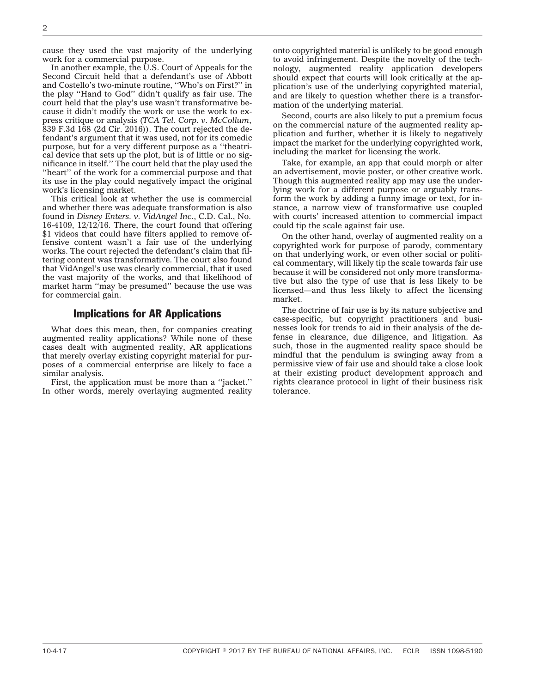cause they used the vast majority of the underlying work for a commercial purpose.

In another example, the U.S. Court of Appeals for the Second Circuit held that a defendant's use of Abbott and Costello's two-minute routine, ''Who's on First?'' in the play ''Hand to God'' didn't qualify as fair use. The court held that the play's use wasn't transformative because it didn't modify the work or use the work to express critique or analysis (*TCA Tel. Corp. v. McCollum*, 839 F.3d 168 (2d Cir. 2016)). The court rejected the defendant's argument that it was used, not for its comedic purpose, but for a very different purpose as a ''theatrical device that sets up the plot, but is of little or no significance in itself.'' The court held that the play used the ''heart'' of the work for a commercial purpose and that its use in the play could negatively impact the original work's licensing market.

This critical look at whether the use is commercial and whether there was adequate transformation is also found in *Disney Enters. v. VidAngel Inc.*, C.D. Cal., No. 16-4109,  $12/12/16$ . There, the court found that offering \$1 videos that could have filters applied to remove offensive content wasn't a fair use of the underlying works. The court rejected the defendant's claim that filtering content was transformative. The court also found that VidAngel's use was clearly commercial, that it used the vast majority of the works, and that likelihood of market harm ''may be presumed'' because the use was for commercial gain.

#### Implications for AR Applications

What does this mean, then, for companies creating augmented reality applications? While none of these cases dealt with augmented reality, AR applications that merely overlay existing copyright material for purposes of a commercial enterprise are likely to face a similar analysis.

First, the application must be more than a ''jacket.'' In other words, merely overlaying augmented reality onto copyrighted material is unlikely to be good enough to avoid infringement. Despite the novelty of the technology, augmented reality application developers should expect that courts will look critically at the application's use of the underlying copyrighted material, and are likely to question whether there is a transformation of the underlying material.

Second, courts are also likely to put a premium focus on the commercial nature of the augmented reality application and further, whether it is likely to negatively impact the market for the underlying copyrighted work, including the market for licensing the work.

Take, for example, an app that could morph or alter an advertisement, movie poster, or other creative work. Though this augmented reality app may use the underlying work for a different purpose or arguably transform the work by adding a funny image or text, for instance, a narrow view of transformative use coupled with courts' increased attention to commercial impact could tip the scale against fair use.

On the other hand, overlay of augmented reality on a copyrighted work for purpose of parody, commentary on that underlying work, or even other social or political commentary, will likely tip the scale towards fair use because it will be considered not only more transformative but also the type of use that is less likely to be licensed—and thus less likely to affect the licensing market.

The doctrine of fair use is by its nature subjective and case-specific, but copyright practitioners and businesses look for trends to aid in their analysis of the defense in clearance, due diligence, and litigation. As such, those in the augmented reality space should be mindful that the pendulum is swinging away from a permissive view of fair use and should take a close look at their existing product development approach and rights clearance protocol in light of their business risk tolerance.